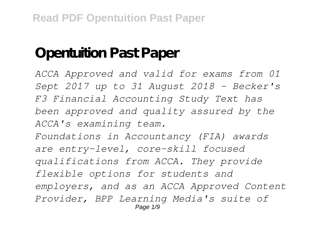## **Opentuition Past Paper**

*ACCA Approved and valid for exams from 01 Sept 2017 up to 31 August 2018 - Becker's F3 Financial Accounting Study Text has been approved and quality assured by the ACCA's examining team. Foundations in Accountancy (FIA) awards are entry-level, core-skill focused qualifications from ACCA. They provide flexible options for students and employers, and as an ACCA Approved Content Provider, BPP Learning Media's suite of* Page 1/9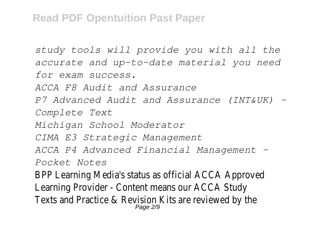## **Read PDF Opentuition Past Paper**

```
study tools will provide you with all the
accurate and up-to-date material you need
for exam success.
ACCA F8 Audit and Assurance
P7 Advanced Audit and Assurance (INT&UK) -
Complete Text
Michigan School Moderator
CIMA E3 Strategic Management
ACCA P4 Advanced Financial Management -
Pocket Notes
BPP Learning Media's status as official ACCA Approved
Learning Provider - Content means our ACCA Study
Texts and Practice & Revision Kits are reviewed by<br>Page 2/9
```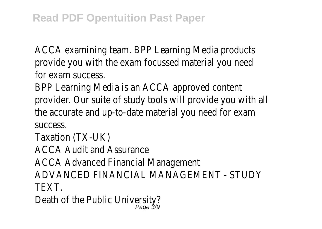ACCA examining team. BPP Learning Media products provide you with the exam focussed material you need for exam success.

BPP Learning Media is an ACCA approved content provider. Our suite of study tools will provide you with all the accurate and up-to-date material you need for exam success.

Taxation (TX-UK)

ACCA Audit and Assurance

ACCA Advanced Financial Management

ADVANCED FINANCIAL MANAGEMENT - STUDY

TEXT.

Death of the Public Universit<br>Page 3/9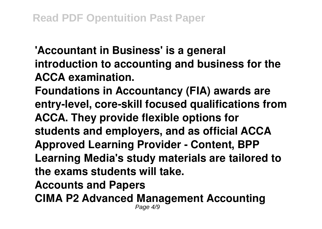**'Accountant in Business' is a general introduction to accounting and business for the ACCA examination.**

**Foundations in Accountancy (FIA) awards are entry-level, core-skill focused qualifications from ACCA. They provide flexible options for students and employers, and as official ACCA Approved Learning Provider - Content, BPP Learning Media's study materials are tailored to the exams students will take.**

**Accounts and Papers**

**CIMA P2 Advanced Management Accounting** Page 4/9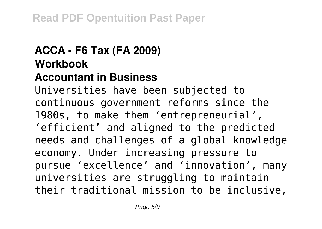## **ACCA - F6 Tax (FA 2009) Workbook**

## **Accountant in Business**

Universities have been subjected to continuous government reforms since the 1980s, to make them 'entrepreneurial', 'efficient' and aligned to the predicted needs and challenges of a global knowledge economy. Under increasing pressure to pursue 'excellence' and 'innovation', many universities are struggling to maintain their traditional mission to be inclusive,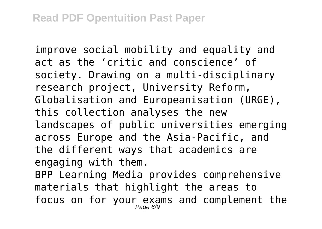improve social mobility and equality and act as the 'critic and conscience' of society. Drawing on a multi-disciplinary research project, University Reform, Globalisation and Europeanisation (URGE), this collection analyses the new landscapes of public universities emerging across Europe and the Asia-Pacific, and the different ways that academics are engaging with them.

BPP Learning Media provides comprehensive materials that highlight the areas to focus on for your exams and complement the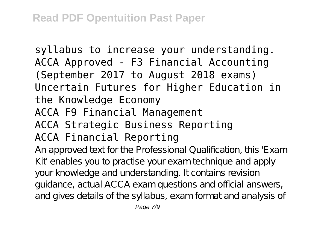syllabus to increase your understanding. ACCA Approved - F3 Financial Accounting (September 2017 to August 2018 exams) Uncertain Futures for Higher Education in the Knowledge Economy ACCA F9 Financial Management ACCA Strategic Business Reporting ACCA Financial Reporting

An approved text for the Professional Qualification, this 'Exam Kit' enables you to practise your exam technique and apply your knowledge and understanding. It contains revision guidance, actual ACCA exam questions and official answers, and gives details of the syllabus, exam format and analysis of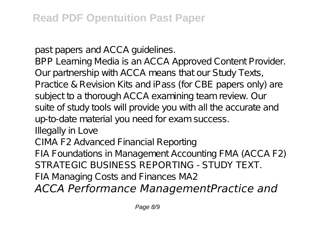past papers and ACCA guidelines.

BPP Learning Media is an ACCA Approved Content Provider. Our partnership with ACCA means that our Study Texts, Practice & Revision Kits and iPass (for CBE papers only) are subject to a thorough ACCA examining team review. Our suite of study tools will provide you with all the accurate and up-to-date material you need for exam success.

Illegally in Love

CIMA F2 Advanced Financial Reporting

FIA Foundations in Management Accounting FMA (ACCA F2) STRATEGIC BUSINESS REPORTING - STUDY TEXT.

FIA Managing Costs and Finances MA2

*ACCA Performance ManagementPractice and*